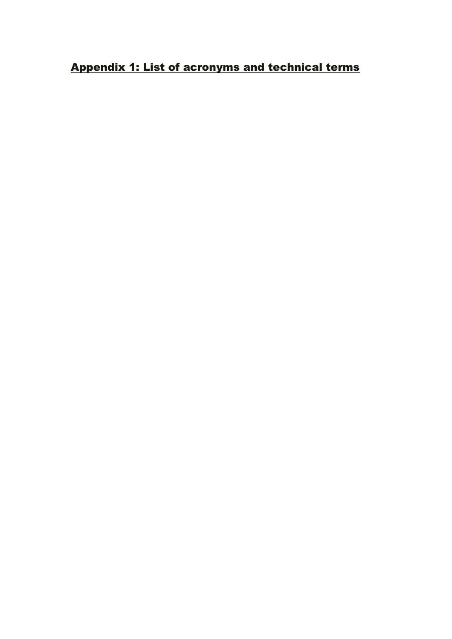## Appendix 1: List of acronyms and technical terms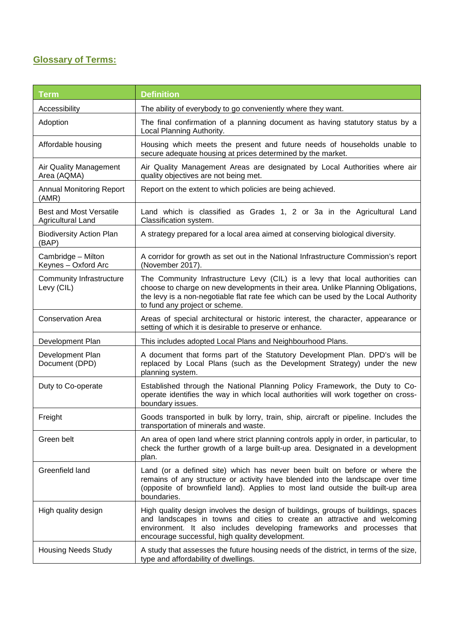## **Glossary of Terms:**

| <b>Term</b>                                                | <b>Definition</b>                                                                                                                                                                                                                                                                          |
|------------------------------------------------------------|--------------------------------------------------------------------------------------------------------------------------------------------------------------------------------------------------------------------------------------------------------------------------------------------|
| Accessibility                                              | The ability of everybody to go conveniently where they want.                                                                                                                                                                                                                               |
| Adoption                                                   | The final confirmation of a planning document as having statutory status by a<br>Local Planning Authority.                                                                                                                                                                                 |
| Affordable housing                                         | Housing which meets the present and future needs of households unable to<br>secure adequate housing at prices determined by the market.                                                                                                                                                    |
| Air Quality Management<br>Area (AQMA)                      | Air Quality Management Areas are designated by Local Authorities where air<br>quality objectives are not being met.                                                                                                                                                                        |
| <b>Annual Monitoring Report</b><br>(AMR)                   | Report on the extent to which policies are being achieved.                                                                                                                                                                                                                                 |
| <b>Best and Most Versatile</b><br><b>Agricultural Land</b> | Land which is classified as Grades 1, 2 or 3a in the Agricultural Land<br>Classification system.                                                                                                                                                                                           |
| <b>Biodiversity Action Plan</b><br>(BAP)                   | A strategy prepared for a local area aimed at conserving biological diversity.                                                                                                                                                                                                             |
| Cambridge - Milton<br>Keynes - Oxford Arc                  | A corridor for growth as set out in the National Infrastructure Commission's report<br>(November 2017).                                                                                                                                                                                    |
| Community Infrastructure<br>Levy (CIL)                     | The Community Infrastructure Levy (CIL) is a levy that local authorities can<br>choose to charge on new developments in their area. Unlike Planning Obligations,<br>the levy is a non-negotiable flat rate fee which can be used by the Local Authority<br>to fund any project or scheme.  |
| <b>Conservation Area</b>                                   | Areas of special architectural or historic interest, the character, appearance or<br>setting of which it is desirable to preserve or enhance.                                                                                                                                              |
| Development Plan                                           | This includes adopted Local Plans and Neighbourhood Plans.                                                                                                                                                                                                                                 |
| Development Plan<br>Document (DPD)                         | A document that forms part of the Statutory Development Plan. DPD's will be<br>replaced by Local Plans (such as the Development Strategy) under the new<br>planning system.                                                                                                                |
| Duty to Co-operate                                         | Established through the National Planning Policy Framework, the Duty to Co-<br>operate identifies the way in which local authorities will work together on cross-<br>boundary issues.                                                                                                      |
| Freight                                                    | Goods transported in bulk by lorry, train, ship, aircraft or pipeline. Includes the<br>transportation of minerals and waste.                                                                                                                                                               |
| Green belt                                                 | An area of open land where strict planning controls apply in order, in particular, to<br>check the further growth of a large built-up area. Designated in a development<br>plan.                                                                                                           |
| Greenfield land                                            | Land (or a defined site) which has never been built on before or where the<br>remains of any structure or activity have blended into the landscape over time<br>(opposite of brownfield land). Applies to most land outside the built-up area<br>boundaries.                               |
| High quality design                                        | High quality design involves the design of buildings, groups of buildings, spaces<br>and landscapes in towns and cities to create an attractive and welcoming<br>environment. It also includes developing frameworks and processes that<br>encourage successful, high quality development. |
| <b>Housing Needs Study</b>                                 | A study that assesses the future housing needs of the district, in terms of the size,<br>type and affordability of dwellings.                                                                                                                                                              |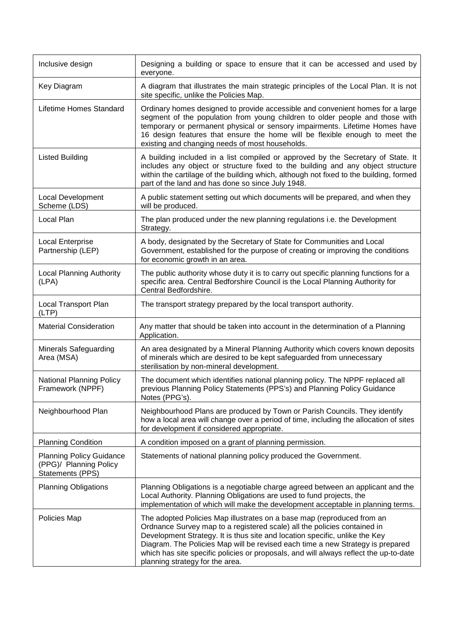| Inclusive design                                                              | Designing a building or space to ensure that it can be accessed and used by<br>everyone.                                                                                                                                                                                                                                                                                                                                                        |
|-------------------------------------------------------------------------------|-------------------------------------------------------------------------------------------------------------------------------------------------------------------------------------------------------------------------------------------------------------------------------------------------------------------------------------------------------------------------------------------------------------------------------------------------|
| Key Diagram                                                                   | A diagram that illustrates the main strategic principles of the Local Plan. It is not<br>site specific, unlike the Policies Map.                                                                                                                                                                                                                                                                                                                |
| Lifetime Homes Standard                                                       | Ordinary homes designed to provide accessible and convenient homes for a large<br>segment of the population from young children to older people and those with<br>temporary or permanent physical or sensory impairments. Lifetime Homes have<br>16 design features that ensure the home will be flexible enough to meet the<br>existing and changing needs of most households.                                                                 |
| <b>Listed Building</b>                                                        | A building included in a list compiled or approved by the Secretary of State. It<br>includes any object or structure fixed to the building and any object structure<br>within the cartilage of the building which, although not fixed to the building, formed<br>part of the land and has done so since July 1948.                                                                                                                              |
| Local Development<br>Scheme (LDS)                                             | A public statement setting out which documents will be prepared, and when they<br>will be produced.                                                                                                                                                                                                                                                                                                                                             |
| Local Plan                                                                    | The plan produced under the new planning regulations i.e. the Development<br>Strategy.                                                                                                                                                                                                                                                                                                                                                          |
| Local Enterprise<br>Partnership (LEP)                                         | A body, designated by the Secretary of State for Communities and Local<br>Government, established for the purpose of creating or improving the conditions<br>for economic growth in an area.                                                                                                                                                                                                                                                    |
| <b>Local Planning Authority</b><br>(LPA)                                      | The public authority whose duty it is to carry out specific planning functions for a<br>specific area. Central Bedforshire Council is the Local Planning Authority for<br>Central Bedfordshire.                                                                                                                                                                                                                                                 |
| Local Transport Plan<br>(LTP)                                                 | The transport strategy prepared by the local transport authority.                                                                                                                                                                                                                                                                                                                                                                               |
| <b>Material Consideration</b>                                                 | Any matter that should be taken into account in the determination of a Planning<br>Application.                                                                                                                                                                                                                                                                                                                                                 |
| <b>Minerals Safeguarding</b><br>Area (MSA)                                    | An area designated by a Mineral Planning Authority which covers known deposits<br>of minerals which are desired to be kept safeguarded from unnecessary<br>sterilisation by non-mineral development.                                                                                                                                                                                                                                            |
| National Planning Policy<br>Framework (NPPF)                                  | The document which identifies national planning policy. The NPPF replaced all<br>previous Planning Policy Statements (PPS's) and Planning Policy Guidance<br>Notes (PPG's).                                                                                                                                                                                                                                                                     |
| Neighbourhood Plan                                                            | Neighbourhood Plans are produced by Town or Parish Councils. They identify<br>how a local area will change over a period of time, including the allocation of sites<br>for development if considered appropriate.                                                                                                                                                                                                                               |
| <b>Planning Condition</b>                                                     | A condition imposed on a grant of planning permission.                                                                                                                                                                                                                                                                                                                                                                                          |
| <b>Planning Policy Guidance</b><br>(PPG)/ Planning Policy<br>Statements (PPS) | Statements of national planning policy produced the Government.                                                                                                                                                                                                                                                                                                                                                                                 |
| <b>Planning Obligations</b>                                                   | Planning Obligations is a negotiable charge agreed between an applicant and the<br>Local Authority. Planning Obligations are used to fund projects, the<br>implementation of which will make the development acceptable in planning terms.                                                                                                                                                                                                      |
| Policies Map                                                                  | The adopted Policies Map illustrates on a base map (reproduced from an<br>Ordnance Survey map to a registered scale) all the policies contained in<br>Development Strategy. It is thus site and location specific, unlike the Key<br>Diagram. The Policies Map will be revised each time a new Strategy is prepared<br>which has site specific policies or proposals, and will always reflect the up-to-date<br>planning strategy for the area. |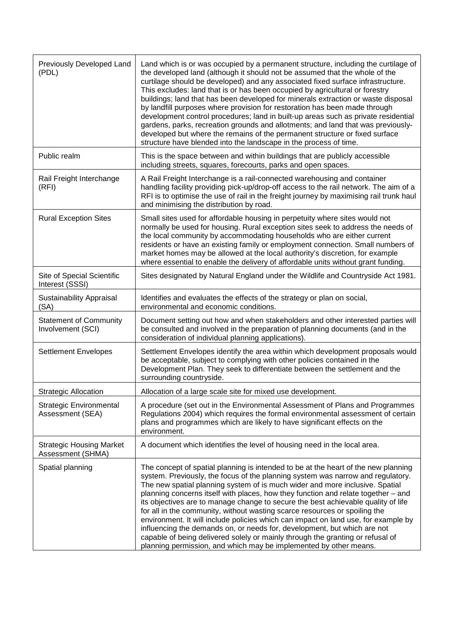| Previously Developed Land<br>(PDL)                   | Land which is or was occupied by a permanent structure, including the curtilage of<br>the developed land (although it should not be assumed that the whole of the<br>curtilage should be developed) and any associated fixed surface infrastructure.<br>This excludes: land that is or has been occupied by agricultural or forestry<br>buildings; land that has been developed for minerals extraction or waste disposal<br>by landfill purposes where provision for restoration has been made through<br>development control procedures; land in built-up areas such as private residential<br>gardens, parks, recreation grounds and allotments; and land that was previously-<br>developed but where the remains of the permanent structure or fixed surface<br>structure have blended into the landscape in the process of time.  |
|------------------------------------------------------|----------------------------------------------------------------------------------------------------------------------------------------------------------------------------------------------------------------------------------------------------------------------------------------------------------------------------------------------------------------------------------------------------------------------------------------------------------------------------------------------------------------------------------------------------------------------------------------------------------------------------------------------------------------------------------------------------------------------------------------------------------------------------------------------------------------------------------------|
| Public realm                                         | This is the space between and within buildings that are publicly accessible<br>including streets, squares, forecourts, parks and open spaces.                                                                                                                                                                                                                                                                                                                                                                                                                                                                                                                                                                                                                                                                                          |
| Rail Freight Interchange<br>(RFI)                    | A Rail Freight Interchange is a rail-connected warehousing and container<br>handling facility providing pick-up/drop-off access to the rail network. The aim of a<br>RFI is to optimise the use of rail in the freight journey by maximising rail trunk haul<br>and minimising the distribution by road.                                                                                                                                                                                                                                                                                                                                                                                                                                                                                                                               |
| <b>Rural Exception Sites</b>                         | Small sites used for affordable housing in perpetuity where sites would not<br>normally be used for housing. Rural exception sites seek to address the needs of<br>the local community by accommodating households who are either current<br>residents or have an existing family or employment connection. Small numbers of<br>market homes may be allowed at the local authority's discretion, for example<br>where essential to enable the delivery of affordable units without grant funding.                                                                                                                                                                                                                                                                                                                                      |
| Site of Special Scientific<br>Interest (SSSI)        | Sites designated by Natural England under the Wildlife and Countryside Act 1981.                                                                                                                                                                                                                                                                                                                                                                                                                                                                                                                                                                                                                                                                                                                                                       |
| Sustainability Appraisal<br>(SA)                     | Identifies and evaluates the effects of the strategy or plan on social,<br>environmental and economic conditions.                                                                                                                                                                                                                                                                                                                                                                                                                                                                                                                                                                                                                                                                                                                      |
| <b>Statement of Community</b><br>Involvement (SCI)   | Document setting out how and when stakeholders and other interested parties will<br>be consulted and involved in the preparation of planning documents (and in the<br>consideration of individual planning applications).                                                                                                                                                                                                                                                                                                                                                                                                                                                                                                                                                                                                              |
| <b>Settlement Envelopes</b>                          | Settlement Envelopes identify the area within which development proposals would<br>be acceptable, subject to complying with other policies contained in the<br>Development Plan. They seek to differentiate between the settlement and the<br>surrounding countryside.                                                                                                                                                                                                                                                                                                                                                                                                                                                                                                                                                                 |
| <b>Strategic Allocation</b>                          | Allocation of a large scale site for mixed use development.                                                                                                                                                                                                                                                                                                                                                                                                                                                                                                                                                                                                                                                                                                                                                                            |
| <b>Strategic Environmental</b><br>Assessment (SEA)   | A procedure (set out in the Environmental Assessment of Plans and Programmes<br>Regulations 2004) which requires the formal environmental assessment of certain<br>plans and programmes which are likely to have significant effects on the<br>environment.                                                                                                                                                                                                                                                                                                                                                                                                                                                                                                                                                                            |
| <b>Strategic Housing Market</b><br>Assessment (SHMA) | A document which identifies the level of housing need in the local area.                                                                                                                                                                                                                                                                                                                                                                                                                                                                                                                                                                                                                                                                                                                                                               |
| Spatial planning                                     | The concept of spatial planning is intended to be at the heart of the new planning<br>system. Previously, the focus of the planning system was narrow and regulatory.<br>The new spatial planning system of is much wider and more inclusive. Spatial<br>planning concerns itself with places, how they function and relate together – and<br>its objectives are to manage change to secure the best achievable quality of life<br>for all in the community, without wasting scarce resources or spoiling the<br>environment. It will include policies which can impact on land use, for example by<br>influencing the demands on, or needs for, development, but which are not<br>capable of being delivered solely or mainly through the granting or refusal of<br>planning permission, and which may be implemented by other means. |